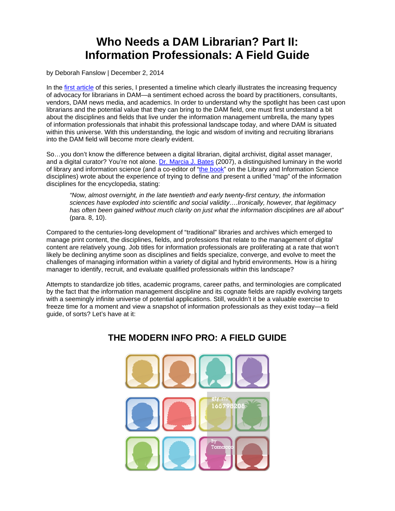# **Who Needs a DAM Librarian? Part II: Information Professionals: A Field Guide**

by Deborah Fanslow | December 2, 2014

In the [first article](http://digitalassetmanagementnews.org/features/who-needs-a-dam-librarian-part-i-come-out-come-out-wherever-you-are/) of this series, I presented a timeline which clearly illustrates the increasing frequency of advocacy for librarians in DAM—a sentiment echoed across the board by practitioners, consultants, vendors, DAM news media, and academics. In order to understand why the spotlight has been cast upon librarians and the potential value that they can bring to the DAM field, one must first understand a bit about the disciplines and fields that live under the information management umbrella, the many types of information professionals that inhabit this professional landscape today, and where DAM is situated within this universe. With this understanding, the logic and wisdom of inviting and recruiting librarians into the DAM field will become more clearly evident.

So…you don't know the difference between a digital librarian, digital archivist, digital asset manager, and a digital curator? You're not alone. [Dr. Marcia J. Bates](http://pages.gseis.ucla.edu/faculty/bates/) (2007), a distinguished luminary in the world of library and information science (and a co-editor of ["the book"](http://www.crcpress.com/product/isbn/9780849397127) on the Library and Information Science disciplines) wrote about the experience of trying to define and present a unified "map" of the information disciplines for the encyclopedia, stating:

*"Now, almost overnight, in the late twentieth and early twenty-first century, the information sciences have exploded into scientific and social validity….Ironically, however, that legitimacy has often been gained without much clarity on just what the information disciplines are all about"* (para. 8, 10).

Compared to the centuries-long development of "traditional" libraries and archives which emerged to manage print content, the disciplines, fields, and professions that relate to the management of *digital* content are relatively young. Job titles for information professionals are proliferating at a rate that won't likely be declining anytime soon as disciplines and fields specialize, converge, and evolve to meet the challenges of managing information within a variety of digital and hybrid environments. How is a hiring manager to identify, recruit, and evaluate qualified professionals within this landscape?

Attempts to standardize job titles, academic programs, career paths, and terminologies are complicated by the fact that the information management discipline and its cognate fields are rapidly evolving targets with a seemingly infinite universe of potential applications. Still, wouldn't it be a valuable exercise to freeze time for a moment and view a snapshot of information professionals as they exist today—a field guide, of sorts? Let's have at it:

## **THE MODERN INFO PRO: A FIELD GUIDE**

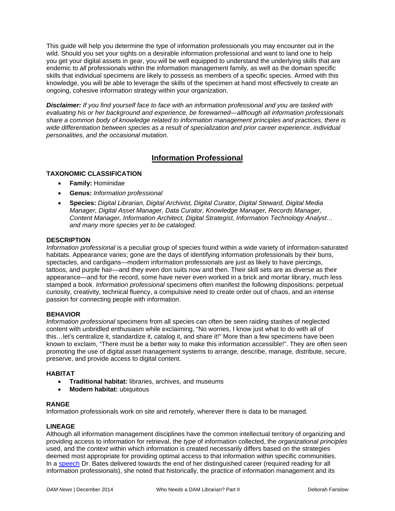This guide will help you determine the type of information professionals you may encounter out in the wild. Should you set your sights on a desirable information professional and want to land one to help you get your digital assets in gear, you will be well equipped to understand the underlying skills that are endemic to *all* professionals within the information management family, as well as the domain specific skills that individual specimens are likely to possess as members of a specific species. Armed with this knowledge, you will be able to leverage the skills of the specimen at hand most effectively to create an ongoing, cohesive information strategy within your organization.

*Disclaimer: If you find yourself face to face with an information professional and you are tasked with evaluating his or her background and experience, be forewarned*—*although all information professionals share a common body of knowledge related to information management principles and practices, there is wide differentiation between species as a result of specialization and prior career experience*, *individual personalities, and the occasional mutation.*

### **Information Professional**

#### **TAXONOMIC CLASSIFICATION**

- **Family:** Hominidae
- **Genus:** *Information professional*
- **Species:** *Digital Librarian, Digital Archivist, Digital Curator, Digital Steward, Digital Media Manager, Digital Asset Manager, Data Curator, Knowledge Manager, Records Manager, Content Manager, Information Architect, Digital Strategist, Information Technology Analyst… and many more species yet to be cataloged.*

#### **DESCRIPTION**

*Information professional* is a peculiar group of species found within a wide variety of information-saturated habitats. Appearance varies; gone are the days of identifying information professionals by their buns, spectacles, and cardigans—modern information professionals are just as likely to have piercings, tattoos, and purple hair—and they even don suits now and then. Their skill sets are as diverse as their appearance—and for the record, some have never even worked in a brick and mortar library, much less stamped a book. *Information professional* specimens often manifest the following dispositions: perpetual curiosity, creativity, technical fluency, a compulsive need to create order out of chaos, and an intense passion for connecting people with information.

#### **BEHAVIOR**

*Information professional* specimens from all species can often be seen raiding stashes of neglected content with unbridled enthusiasm while exclaiming, "No worries, I know just what to do with all of this…let's centralize it, standardize it, catalog it, and share it!" More than a few specimens have been known to exclaim, "There must be a better way to make this information accessible!". They are often seen promoting the use of digital asset management systems to arrange, describe, manage, distribute, secure, preserve, and provide access to digital content.

#### **HABITAT**

- **Traditional habitat:** libraries, archives, and museums
- **Modern habitat:** ubiquitous

#### **RANGE**

Information professionals work on site and remotely, wherever there is data to be managed.

#### **LINEAGE**

Although all information management disciplines have the common intellectual territory of organizing and providing access to information for retrieval, the *type* of information collected, the *organizational principles* used, and the *context* within which information is created necessarily differs based on the strategies deemed most appropriate for providing optimal access to that information within specific communities. In a [speech](http://pages.gseis.ucla.edu/faculty/bates/articles/pdf/InfoProfessions.pdf) Dr. Bates delivered towards the end of her distinguished career (required reading for all information professionals), she noted that historically, the practice of information management and its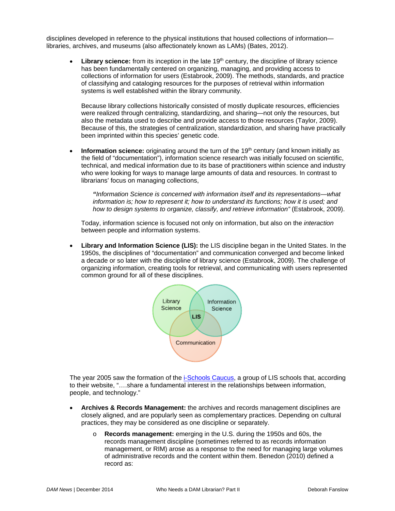disciplines developed in reference to the physical institutions that housed collections of information libraries, archives, and museums (also affectionately known as LAMs) (Bates, 2012).

**Library science:** from its inception in the late 19<sup>th</sup> century, the discipline of library science has been fundamentally centered on organizing, managing, and providing access to collections of information for users (Estabrook, 2009). The methods, standards, and practice of classifying and cataloging resources for the purposes of retrieval within information systems is well established within the library community.

Because library collections historically consisted of mostly duplicate resources, efficiencies were realized through centralizing, standardizing, and sharing—not only the resources, but also the metadata used to describe and provide access to those resources (Taylor, 2009). Because of this, the strategies of centralization, standardization, and sharing have practically been imprinted within this species' genetic code.

**Information science:** originating around the turn of the 19<sup>th</sup> century (and known initially as the field of "documentation"), information science research was initially focused on scientific, technical, and medical information due to its base of practitioners within science and industry who were looking for ways to manage large amounts of data and resources. In contrast to librarians' focus on managing collections,

*"Information Science is concerned with information itself and its representations—what information is; how to represent it; how to understand its functions; how it is used; and how to design systems to organize, classify, and retrieve information"* (Estabrook, 2009).

Today, information science is focused not only on information, but also on the *interaction* between people and information systems.

• **Library and Information Science (LIS):** the LIS discipline began in the United States. In the 1950s, the disciplines of "documentation" and communication converged and become linked a decade or so later with the discipline of library science (Estabrook, 2009). The challenge of organizing information, creating tools for retrieval, and communicating with users represented common ground for all of these disciplines.



The year 2005 saw the formation of the [i-Schools Caucus,](http://ischools.org/about/) a group of LIS schools that, according to their website, "….share a fundamental interest in the relationships between information, people, and technology."

- **Archives & Records Management:** the archives and records management disciplines are closely aligned, and are popularly seen as complementary practices. Depending on cultural practices, they may be considered as one discipline or separately.
	- o **Records management:** emerging in the U.S. during the 1950s and 60s, the records management discipline (sometimes referred to as records information management, or RIM) arose as a response to the need for managing large volumes of administrative records and the content within them. Benedon (2010) defined a record as: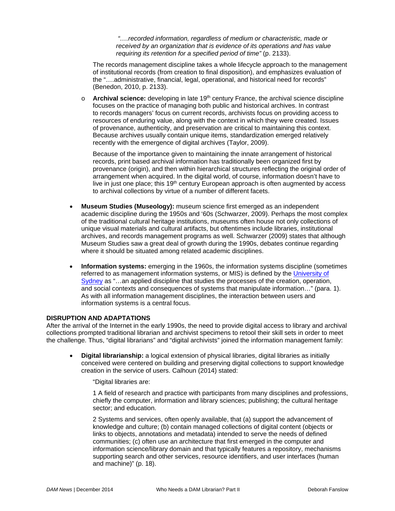*"….recorded information, regardless of medium or characteristic, made or received by an organization that is evidence of its operations and has value requiring its retention for a specified period of time"* (p. 2133).

The records management discipline takes a whole lifecycle approach to the management of institutional records (from creation to final disposition), and emphasizes evaluation of the "….administrative, financial, legal, operational, and historical need for records" (Benedon, 2010, p. 2133).

o **Archival science:** developing in late 19<sup>th</sup> century France, the archival science discipline focuses on the practice of managing both public and historical archives. In contrast to records managers' focus on current records, archivists focus on providing access to resources of enduring value, along with the context in which they were created. Issues of provenance, authenticity, and preservation are critical to maintaining this context. Because archives usually contain unique items, standardization emerged relatively recently with the emergence of digital archives (Taylor, 2009).

Because of the importance given to maintaining the innate arrangement of historical records, print based archival information has traditionally been organized first by provenance (origin), and then within hierarchical structures reflecting the original order of arrangement when acquired. In the digital world, of course, information doesn't have to live in just one place; this  $19<sup>th</sup>$  century European approach is often augmented by access to archival collections by virtue of a number of different facets.

- **Museum Studies (Museology):** museum science first emerged as an independent academic discipline during the 1950s and '60s (Schwarzer, 2009). Perhaps the most complex of the traditional cultural heritage institutions, museums often house not only collections of unique visual materials and cultural artifacts, but oftentimes include libraries, institutional archives, and records management programs as well. Schwarzer (2009) states that although Museum Studies saw a great deal of growth during the 1990s, debates continue regarding where it should be situated among related academic disciplines.
- **Information systems:** emerging in the 1960s, the information systems discipline (sometimes referred to as management information systems, or MIS) is defined by the [University of](http://sydney.edu.au/engineering/it/%7Ejonpat/Information_Systems/IS_propaganda/IS_mission_statement.html)  [Sydney](http://sydney.edu.au/engineering/it/%7Ejonpat/Information_Systems/IS_propaganda/IS_mission_statement.html) as "…an applied discipline that studies the processes of the creation, operation, and social contexts and consequences of systems that manipulate information…" (para. 1). As with all information management disciplines, the interaction between users and information systems is a central focus.

#### **DISRUPTION AND ADAPTATIONS**

After the arrival of the Internet in the early 1990s, the need to provide digital access to library and archival collections prompted traditional librarian and archivist specimens to retool their skill sets in order to meet the challenge. Thus, "digital librarians" and "digital archivists" joined the information management family:

• **Digital librarianship:** a logical extension of physical libraries, digital libraries as initially conceived were centered on building and preserving digital collections to support knowledge creation in the service of users. Calhoun (2014) stated:

"Digital libraries are:

1 A field of research and practice with participants from many disciplines and professions, chiefly the computer, information and library sciences; publishing; the cultural heritage sector; and education.

2 Systems and services, often openly available, that (a) support the advancement of knowledge and culture; (b) contain managed collections of digital content (objects or links to objects, annotations and metadata) intended to serve the needs of defined communities; (c) often use an architecture that first emerged in the computer and information science/library domain and that typically features a repository, mechanisms supporting search and other services, resource identifiers, and user interfaces (human and machine)" (p. 18).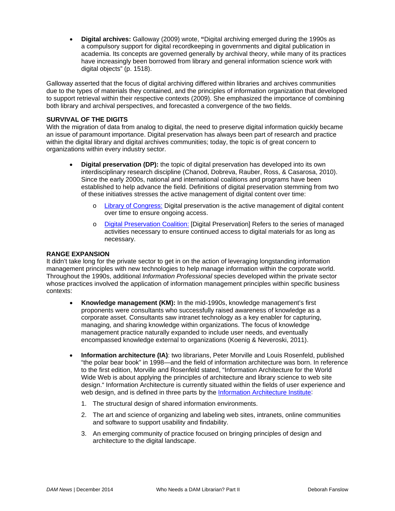• **Digital archives:** Galloway (2009) wrote, **"**Digital archiving emerged during the 1990s as a compulsory support for digital recordkeeping in governments and digital publication in academia. Its concepts are governed generally by archival theory, while many of its practices have increasingly been borrowed from library and general information science work with digital objects" (p. 1518).

Galloway asserted that the focus of digital archiving differed within libraries and archives communities due to the types of materials they contained, and the principles of information organization that developed to support retrieval within their respective contexts (2009). She emphasized the importance of combining both library and archival perspectives, and forecasted a convergence of the two fields.

#### **SURVIVAL OF THE DIGITS**

With the migration of data from analog to digital, the need to preserve digital information quickly became an issue of paramount importance. Digital preservation has always been part of research and practice within the digital library and digital archives communities; today, the topic is of great concern to organizations within every industry sector.

- **Digital preservation (DP):** the topic of digital preservation has developed into its own interdisciplinary research discipline (Chanod, Dobreva, Rauber, Ross, & Casarosa, 2010). Since the early 2000s, national and international coalitions and programs have been established to help advance the field. Definitions of digital preservation stemming from two of these initiatives stresses the active management of digital content over time:
	- o [Library of Congress:](http://www.digitalpreservation.gov/about/) Digital preservation is the active management of digital content over time to ensure ongoing access.
	- o [Digital Preservation Coalition:](http://www.dpconline.org/advice/preservationhandbook/introduction/definitions-and-concepts) [Digital Preservation] Refers to the series of managed activities necessary to ensure continued access to digital materials for as long as necessary.

#### **RANGE EXPANSION**

It didn't take long for the private sector to get in on the action of leveraging longstanding information management principles with new technologies to help manage information within the corporate world. Throughout the 1990s, additional *Information Professional* species developed within the private sector whose practices involved the application of information management principles within specific business contexts:

- **Knowledge management (KM):** In the mid-1990s, knowledge management's first proponents were consultants who successfully raised awareness of knowledge as a corporate asset. Consultants saw intranet technology as a key enabler for capturing, managing, and sharing knowledge within organizations. The focus of knowledge management practice naturally expanded to include user needs, and eventually encompassed knowledge external to organizations (Koenig & Neveroski, 2011).
- **Information architecture (IA)**: two librarians, Peter Morville and Louis Rosenfeld, published "the polar bear book" in 1998—and the field of information architecture was born. In reference to the first edition, Morville and Rosenfeld stated, "Information Architecture for the World Wide Web is about applying the principles of architecture and library science to web site design." Information Architecture is currently situated within the fields of user experience and web design, and is defined in three parts by the [Information Architecture Institute:](http://www.iainstitute.org/)
	- 1. The structural design of shared information environments.
	- 2. The art and science of organizing and labeling web sites, intranets, online communities and software to support usability and findability.
	- 3. An emerging community of practice focused on bringing principles of design and architecture to the digital landscape.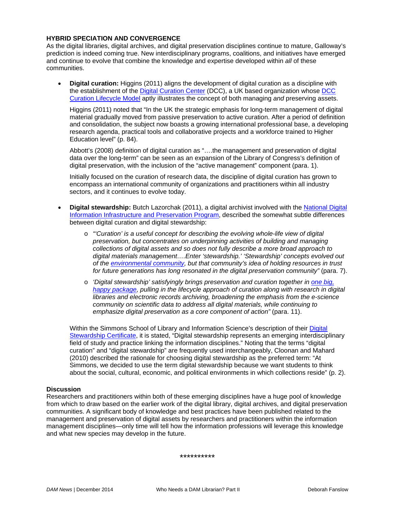#### **HYBRID SPECIATION AND CONVERGENCE**

As the digital libraries, digital archives, and digital preservation disciplines continue to mature, Galloway's prediction is indeed coming true. New interdisciplinary programs, coalitions, and initiatives have emerged and continue to evolve that combine the knowledge and expertise developed within *all* of these communities.

• **Digital curation:** Higgins (2011) aligns the development of digital curation as a discipline with the establishment of the [Digital Curation Center](http://www.dcc.ac.uk/) (DCC), a UK based organization whose [DCC](http://www.dcc.ac.uk/resources/curation-lifecycle-model)  [Curation Lifecycle Model](http://www.dcc.ac.uk/resources/curation-lifecycle-model) aptly illustrates the concept of both managing *and* preserving assets.

Higgins (2011) noted that "In the UK the strategic emphasis for long-term management of digital material gradually moved from passive preservation to active curation. After a period of definition and consolidation, the subject now boasts a growing international professional base, a developing research agenda, practical tools and collaborative projects and a workforce trained to Higher Education level" (p. 84).

Abbott's (2008) definition of digital curation as "….the management and preservation of digital data over the long-term" can be seen as an expansion of the Library of Congress's definition of digital preservation, with the inclusion of the "active management" component (para. 1).

Initially focused on the curation of research data, the discipline of digital curation has grown to encompass an international community of organizations and practitioners within all industry sectors, and it continues to evolve today.

- **Digital stewardship:** Butch Lazorchak (2011), a digital archivist involved with the [National Digital](http://www.digitalpreservation.gov/index.php)  [Information Infrastructure and Preservation Program,](http://www.digitalpreservation.gov/index.php) described the somewhat subtle differences between digital curation and digital stewardship:
	- o *"'Curation' is a useful concept for describing the evolving whole-life view of digital preservation, but concentrates on underpinning activities of building and managing collections of digital assets and so does not fully describe a more broad approach to digital materials management….Enter 'stewardship.' 'Stewardship' concepts evolved out of the [environmental community,](http://www.epa.gov/stewardship/) but that community's idea of holding resources in trust for future generations has long resonated in the digital preservation community"* (para. 7).
	- o *'Digital stewardship' satisfyingly brings preservation and curation together in [one big,](http://stewardship.psu.edu/)  [happy package,](http://stewardship.psu.edu/) pulling in the lifecycle approach of curation along with research in digital libraries and electronic records archiving, broadening the emphasis from the e-science community on scientific data to address all digital materials, while continuing to emphasize digital preservation as a core component of action"* (para. 11).

Within the Simmons School of Library and Information Science's description of their [Digital](http://simmons.edu/slis/programs/postmasters/digital-stewardship/index.php)  [Stewardship Certificate,](http://simmons.edu/slis/programs/postmasters/digital-stewardship/index.php) it is stated, "Digital stewardship represents an emerging interdisciplinary field of study and practice linking the information disciplines." Noting that the terms "digital curation" and "digital stewardship" are frequently used interchangeably, Cloonan and Mahard (2010) described the rationale for choosing digital stewardship as the preferred term: "At Simmons, we decided to use the term digital stewardship because we want students to think about the social, cultural, economic, and political environments in which collections reside" (p. 2).

#### **Discussion**

Researchers and practitioners within both of these emerging disciplines have a huge pool of knowledge from which to draw based on the earlier work of the digital library, digital archives, and digital preservation communities. A significant body of knowledge and best practices have been published related to the management and preservation of digital assets by researchers and practitioners within the information management disciplines—only time will tell how the information professions will leverage this knowledge and what new species may develop in the future.

\*\*\*\*\*\*\*\*\*\*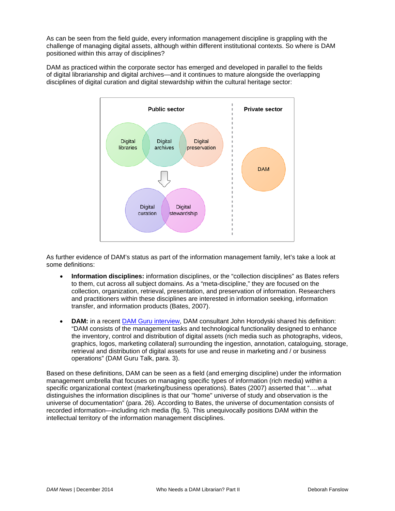As can be seen from the field guide, every information management discipline is grappling with the challenge of managing digital assets, although within different institutional contexts. So where is DAM positioned within this array of disciplines?

DAM as practiced within the corporate sector has emerged and developed in parallel to the fields of digital librarianship and digital archives—and it continues to mature alongside the overlapping disciplines of digital curation and digital stewardship within the cultural heritage sector:



As further evidence of DAM's status as part of the information management family, let's take a look at some definitions:

- **Information disciplines:** information disciplines, or the "collection disciplines" as Bates refers to them, cut across all subject domains. As a "meta-discipline," they are focused on the collection, organization, retrieval, presentation, and preservation of information. Researchers and practitioners within these disciplines are interested in information seeking, information transfer, and information products (Bates, 2007).
- **DAM:** in a recent [DAM Guru interview,](http://damguru.com/guru-profile-john-horodyski/) DAM consultant John Horodyski shared his definition: "DAM consists of the management tasks and technological functionality designed to enhance the inventory, control and distribution of digital assets (rich media such as photographs, videos, graphics, logos, marketing collateral) surrounding the ingestion, annotation, cataloguing, storage, retrieval and distribution of digital assets for use and reuse in marketing and / or business operations" (DAM Guru Talk, para. 3).

Based on these definitions, DAM can be seen as a field (and emerging discipline) under the information management umbrella that focuses on managing specific types of information (rich media) within a specific organizational context (marketing/business operations). Bates (2007) asserted that "….what distinguishes the information disciplines is that our "home" universe of study and observation is the universe of documentation" (para. 26). According to Bates, the universe of documentation consists of recorded information—including rich media (fig. 5). This unequivocally positions DAM within the intellectual territory of the information management disciplines.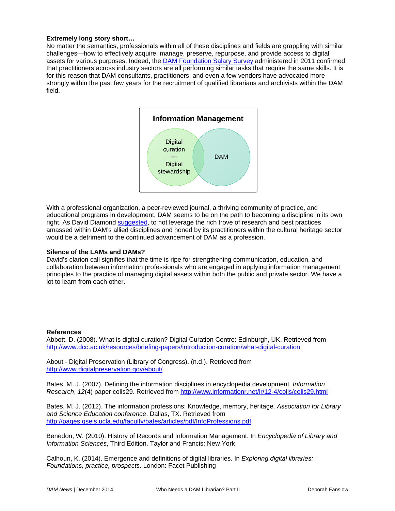#### **Extremely long story short…**

No matter the semantics, professionals within all of these disciplines and fields are grappling with similar challenges—how to effectively acquire, manage, preserve, repurpose, and provide access to digital assets for various purposes. Indeed, the **DAM Foundation Salary Survey administered in 2011 confirmed** that practitioners across industry sectors are all performing similar tasks that require the same skills. It is for this reason that DAM consultants, practitioners, and even a few vendors have advocated more strongly within the past few years for the recruitment of qualified librarians and archivists within the DAM field.



With a professional organization, a peer-reviewed journal, a thriving community of practice, and educational programs in development, DAM seems to be on the path to becoming a discipline in its own right. As David Diamond [suggested,](http://www.cmswire.com/cms/digital-asset-management/library-science-not-library-silence-026230.php) to not leverage the rich trove of research and best practices amassed within DAM's allied disciplines and honed by its practitioners within the cultural heritage sector would be a detriment to the continued advancement of DAM as a profession.

#### **Silence of the LAMs and DAMs?**

David's clarion call signifies that the time is ripe for strengthening communication, education, and collaboration between information professionals who are engaged in applying information management principles to the practice of managing digital assets within both the public and private sector. We have a lot to learn from each other.

#### **References**

Abbott, D. (2008). What is digital curation? Digital Curation Centre: Edinburgh, UK. Retrieved from http://www.dcc.ac.uk/resources/briefing-papers/introduction-curation/what-digital-curation

About - Digital Preservation (Library of Congress). (n.d.). Retrieved from <http://www.digitalpreservation.gov/about/>

Bates, M. J. (2007). Defining the information disciplines in encyclopedia development. *Information Research*, *12*(4) paper colis29. Retrieved from <http://www.informationr.net/ir/12-4/colis/colis29.html>

Bates, M. J. (2012). The information professions: Knowledge, memory, heritage. *Association for Library and Science Education conference*. Dallas, TX. Retrieved from <http://pages.gseis.ucla.edu/faculty/bates/articles/pdf/InfoProfessions.pdf>

Benedon, W. (2010). History of Records and Information Management. In *Encyclopedia of Library and Information Sciences*, Third Edition. Taylor and Francis: New York

Calhoun, K. (2014). Emergence and definitions of digital libraries. In *Exploring digital libraries: Foundations, practice, prospects*. London: Facet Publishing